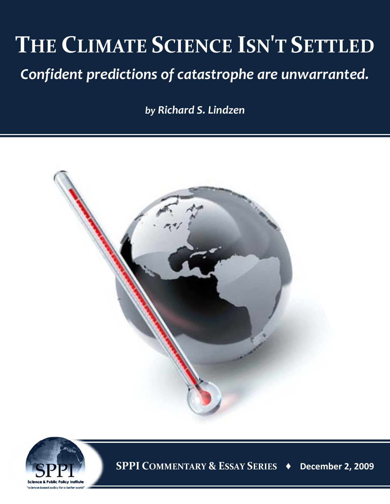## **THE CLIMATE SCIENCE ISN'T SETTLED**

*Confident predictions of catastrophe are unwarranted.*

*by Richard S. Lindzen* 





**SPPI COMMENTARY & ESSAY SERIES ♦ December 2, 2009**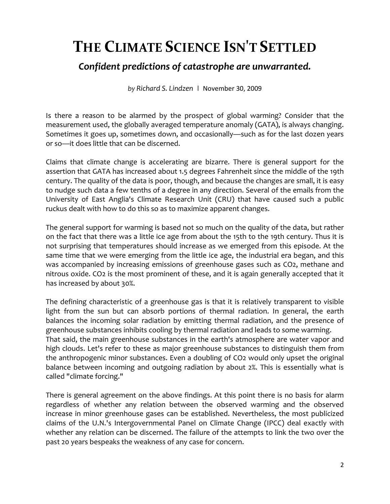## **THE CLIMATE SCIENCE ISN'T SETTLED**

## *Confident predictions of catastrophe are unwarranted.*

*by Richard S. Lindzen* **|**November 30, 2009

Is there a reason to be alarmed by the prospect of global warming? Consider that the measurement used, the globally averaged temperature anomaly (GATA), is always changing. Sometimes it goes up, sometimes down, and occasionally—such as for the last dozen years or so—it does little that can be discerned.

Claims that climate change is accelerating are bizarre. There is general support for the assertion that GATA has increased about 1.5 degrees Fahrenheit since the middle of the 19th century. The quality of the data is poor, though, and because the changes are small, it is easy to nudge such data a few tenths of a degree in any direction. Several of the emails from the University of East Anglia's Climate Research Unit (CRU) that have caused such a public ruckus dealt with how to do this so as to maximize apparent changes.

The general support for warming is based not so much on the quality of the data, but rather on the fact that there was a little ice age from about the 15th to the 19th century. Thus it is not surprising that temperatures should increase as we emerged from this episode. At the same time that we were emerging from the little ice age, the industrial era began, and this was accompanied by increasing emissions of greenhouse gases such as CO2, methane and nitrous oxide. CO2 is the most prominent of these, and it is again generally accepted that it has increased by about 30%.

The defining characteristic of a greenhouse gas is that it is relatively transparent to visible light from the sun but can absorb portions of thermal radiation. In general, the earth balances the incoming solar radiation by emitting thermal radiation, and the presence of greenhouse substances inhibits cooling by thermal radiation and leads to some warming. That said, the main greenhouse substances in the earth's atmosphere are water vapor and high clouds. Let's refer to these as major greenhouse substances to distinguish them from the anthropogenic minor substances. Even a doubling of CO2 would only upset the original balance between incoming and outgoing radiation by about 2%. This is essentially what is called "climate forcing."

There is general agreement on the above findings. At this point there is no basis for alarm regardless of whether any relation between the observed warming and the observed increase in minor greenhouse gases can be established. Nevertheless, the most publicized claims of the U.N.'s Intergovernmental Panel on Climate Change (IPCC) deal exactly with whether any relation can be discerned. The failure of the attempts to link the two over the past 20 years bespeaks the weakness of any case for concern.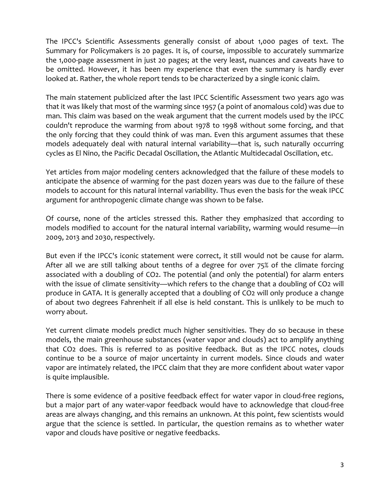The IPCC's Scientific Assessments generally consist of about 1,000 pages of text. The Summary for Policymakers is 20 pages. It is, of course, impossible to accurately summarize the 1,000-page assessment in just 20 pages; at the very least, nuances and caveats have to be omitted. However, it has been my experience that even the summary is hardly ever looked at. Rather, the whole report tends to be characterized by a single iconic claim.

The main statement publicized after the last IPCC Scientific Assessment two years ago was that it was likely that most of the warming since 1957 (a point of anomalous cold) was due to man. This claim was based on the weak argument that the current models used by the IPCC couldn't reproduce the warming from about 1978 to 1998 without some forcing, and that the only forcing that they could think of was man. Even this argument assumes that these models adequately deal with natural internal variability—that is, such naturally occurring cycles as El Nino, the Pacific Decadal Oscillation, the Atlantic Multidecadal Oscillation, etc.

Yet articles from major modeling centers acknowledged that the failure of these models to anticipate the absence of warming for the past dozen years was due to the failure of these models to account for this natural internal variability. Thus even the basis for the weak IPCC argument for anthropogenic climate change was shown to be false.

Of course, none of the articles stressed this. Rather they emphasized that according to models modified to account for the natural internal variability, warming would resume—in 2009, 2013 and 2030, respectively.

But even if the IPCC's iconic statement were correct, it still would not be cause for alarm. After all we are still talking about tenths of a degree for over 75% of the climate forcing associated with a doubling of CO2. The potential (and only the potential) for alarm enters with the issue of climate sensitivity—which refers to the change that a doubling of CO2 will produce in GATA. It is generally accepted that a doubling of CO2 will only produce a change of about two degrees Fahrenheit if all else is held constant. This is unlikely to be much to worry about.

Yet current climate models predict much higher sensitivities. They do so because in these models, the main greenhouse substances (water vapor and clouds) act to amplify anything that CO2 does. This is referred to as positive feedback. But as the IPCC notes, clouds continue to be a source of major uncertainty in current models. Since clouds and water vapor are intimately related, the IPCC claim that they are more confident about water vapor is quite implausible.

There is some evidence of a positive feedback effect for water vapor in cloud-free regions, but a major part of any water-vapor feedback would have to acknowledge that cloud-free areas are always changing, and this remains an unknown. At this point, few scientists would argue that the science is settled. In particular, the question remains as to whether water vapor and clouds have positive or negative feedbacks.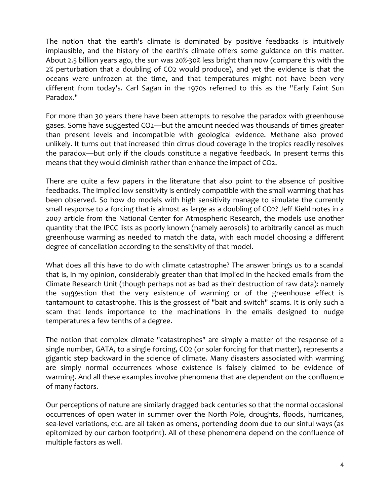The notion that the earth's climate is dominated by positive feedbacks is intuitively implausible, and the history of the earth's climate offers some guidance on this matter. About 2.5 billion years ago, the sun was 20%-30% less bright than now (compare this with the 2% perturbation that a doubling of CO2 would produce), and yet the evidence is that the oceans were unfrozen at the time, and that temperatures might not have been very different from today's. Carl Sagan in the 1970s referred to this as the "Early Faint Sun Paradox."

For more than 30 years there have been attempts to resolve the paradox with greenhouse gases. Some have suggested CO2—but the amount needed was thousands of times greater than present levels and incompatible with geological evidence. Methane also proved unlikely. It turns out that increased thin cirrus cloud coverage in the tropics readily resolves the paradox—but only if the clouds constitute a negative feedback. In present terms this means that they would diminish rather than enhance the impact of CO2.

There are quite a few papers in the literature that also point to the absence of positive feedbacks. The implied low sensitivity is entirely compatible with the small warming that has been observed. So how do models with high sensitivity manage to simulate the currently small response to a forcing that is almost as large as a doubling of CO2? Jeff Kiehl notes in a 2007 article from the National Center for Atmospheric Research, the models use another quantity that the IPCC lists as poorly known (namely aerosols) to arbitrarily cancel as much greenhouse warming as needed to match the data, with each model choosing a different degree of cancellation according to the sensitivity of that model.

What does all this have to do with climate catastrophe? The answer brings us to a scandal that is, in my opinion, considerably greater than that implied in the hacked emails from the Climate Research Unit (though perhaps not as bad as their destruction of raw data): namely the suggestion that the very existence of warming or of the greenhouse effect is tantamount to catastrophe. This is the grossest of "bait and switch" scams. It is only such a scam that lends importance to the machinations in the emails designed to nudge temperatures a few tenths of a degree.

The notion that complex climate "catastrophes" are simply a matter of the response of a single number, GATA, to a single forcing, CO2 (or solar forcing for that matter), represents a gigantic step backward in the science of climate. Many disasters associated with warming are simply normal occurrences whose existence is falsely claimed to be evidence of warming. And all these examples involve phenomena that are dependent on the confluence of many factors.

Our perceptions of nature are similarly dragged back centuries so that the normal occasional occurrences of open water in summer over the North Pole, droughts, floods, hurricanes, sea-level variations, etc. are all taken as omens, portending doom due to our sinful ways (as epitomized by our carbon footprint). All of these phenomena depend on the confluence of multiple factors as well.